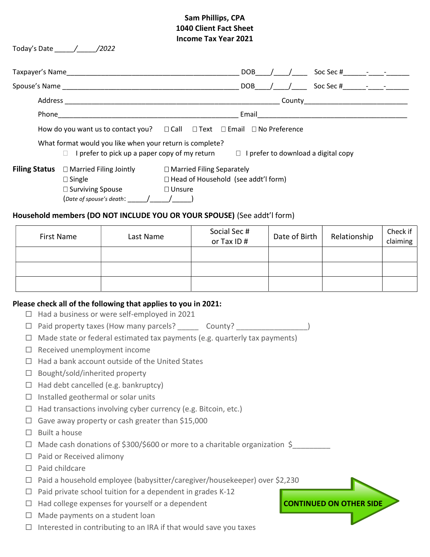## Sam Phillips, CPA 1040 Client Fact Sheet Income Tax Year 2021

| income rax rear zuzi |                                                                                                                                                                 |                          |                                                                                                                                                                                                                              |                                                                      |                                                                                              |                                       |              |                      |  |  |
|----------------------|-----------------------------------------------------------------------------------------------------------------------------------------------------------------|--------------------------|------------------------------------------------------------------------------------------------------------------------------------------------------------------------------------------------------------------------------|----------------------------------------------------------------------|----------------------------------------------------------------------------------------------|---------------------------------------|--------------|----------------------|--|--|
|                      |                                                                                                                                                                 |                          |                                                                                                                                                                                                                              |                                                                      |                                                                                              |                                       |              |                      |  |  |
|                      |                                                                                                                                                                 |                          |                                                                                                                                                                                                                              |                                                                      |                                                                                              |                                       |              |                      |  |  |
|                      |                                                                                                                                                                 |                          |                                                                                                                                                                                                                              |                                                                      |                                                                                              |                                       |              |                      |  |  |
|                      |                                                                                                                                                                 |                          |                                                                                                                                                                                                                              |                                                                      |                                                                                              |                                       |              |                      |  |  |
|                      |                                                                                                                                                                 |                          |                                                                                                                                                                                                                              |                                                                      | How do you want us to contact you? $\Box$ Call $\Box$ Text $\Box$ Email $\Box$ No Preference |                                       |              |                      |  |  |
|                      |                                                                                                                                                                 |                          | What format would you like when your return is complete?<br>$\Box$ I prefer to pick up a paper copy of my return                                                                                                             |                                                                      |                                                                                              | □ I prefer to download a digital copy |              |                      |  |  |
|                      |                                                                                                                                                                 | $\square$ Single         | <b>Filing Status</b> □ Married Filing Jointly<br>□ Surviving Spouse<br>$\Box$ Unsure<br>$(\textit{Date of spouse's death}:$ $\_ / \_ / \_ / \_ )$<br>Household members (DO NOT INCLUDE YOU OR YOUR SPOUSE) (See addt'l form) | □ Married Filing Separately<br>□ Head of Household (see addt'l form) |                                                                                              |                                       |              |                      |  |  |
|                      | <b>First Name</b>                                                                                                                                               |                          | Last Name                                                                                                                                                                                                                    | Social Sec #<br>or Tax ID#                                           | Date of Birth                                                                                |                                       | Relationship | Check if<br>claiming |  |  |
|                      |                                                                                                                                                                 |                          |                                                                                                                                                                                                                              |                                                                      |                                                                                              |                                       |              |                      |  |  |
|                      |                                                                                                                                                                 |                          |                                                                                                                                                                                                                              |                                                                      |                                                                                              |                                       |              |                      |  |  |
|                      |                                                                                                                                                                 |                          |                                                                                                                                                                                                                              |                                                                      |                                                                                              |                                       |              |                      |  |  |
|                      |                                                                                                                                                                 |                          |                                                                                                                                                                                                                              |                                                                      |                                                                                              |                                       |              |                      |  |  |
| $\Box$               |                                                                                                                                                                 |                          | Please check all of the following that applies to you in 2021:<br>Had a business or were self-employed in 2021                                                                                                               |                                                                      |                                                                                              |                                       |              |                      |  |  |
| ⊔                    | Paid property taxes (How many parcels? _________ County? _______________________)<br>Made state or federal estimated tax payments (e.g. quarterly tax payments) |                          |                                                                                                                                                                                                                              |                                                                      |                                                                                              |                                       |              |                      |  |  |
| 0                    | Received unemployment income                                                                                                                                    |                          |                                                                                                                                                                                                                              |                                                                      |                                                                                              |                                       |              |                      |  |  |
|                      | Had a bank account outside of the United States                                                                                                                 |                          |                                                                                                                                                                                                                              |                                                                      |                                                                                              |                                       |              |                      |  |  |
| $\Box$               | Bought/sold/inherited property                                                                                                                                  |                          |                                                                                                                                                                                                                              |                                                                      |                                                                                              |                                       |              |                      |  |  |
| $\Box$               | Had debt cancelled (e.g. bankruptcy)                                                                                                                            |                          |                                                                                                                                                                                                                              |                                                                      |                                                                                              |                                       |              |                      |  |  |
| $\Box$               | Installed geothermal or solar units                                                                                                                             |                          |                                                                                                                                                                                                                              |                                                                      |                                                                                              |                                       |              |                      |  |  |
| $\Box$               |                                                                                                                                                                 |                          | Had transactions involving cyber currency (e.g. Bitcoin, etc.)                                                                                                                                                               |                                                                      |                                                                                              |                                       |              |                      |  |  |
| ப                    |                                                                                                                                                                 |                          | Gave away property or cash greater than \$15,000                                                                                                                                                                             |                                                                      |                                                                                              |                                       |              |                      |  |  |
| $\Box$               |                                                                                                                                                                 | Built a house            |                                                                                                                                                                                                                              |                                                                      |                                                                                              |                                       |              |                      |  |  |
| ப                    | Made cash donations of \$300/\$600 or more to a charitable organization \$                                                                                      |                          |                                                                                                                                                                                                                              |                                                                      |                                                                                              |                                       |              |                      |  |  |
| ப                    |                                                                                                                                                                 | Paid or Received alimony |                                                                                                                                                                                                                              |                                                                      |                                                                                              |                                       |              |                      |  |  |
| $\Box$               | Paid childcare                                                                                                                                                  |                          |                                                                                                                                                                                                                              |                                                                      |                                                                                              |                                       |              |                      |  |  |
| ப                    | Paid a household employee (babysitter/caregiver/housekeeper) over \$2,230                                                                                       |                          |                                                                                                                                                                                                                              |                                                                      |                                                                                              |                                       |              |                      |  |  |
| $\Box$               |                                                                                                                                                                 |                          | Paid private school tuition for a dependent in grades K-12                                                                                                                                                                   |                                                                      |                                                                                              |                                       |              |                      |  |  |
| □                    |                                                                                                                                                                 |                          | Had college expenses for yourself or a dependent                                                                                                                                                                             |                                                                      |                                                                                              | <b>CONTINUED ON OTHER SIDE</b>        |              |                      |  |  |
| $\Box$               |                                                                                                                                                                 |                          | Made payments on a student loan                                                                                                                                                                                              |                                                                      |                                                                                              |                                       |              |                      |  |  |
| $\Box$               |                                                                                                                                                                 |                          | Interested in contributing to an IRA if that would save you taxes                                                                                                                                                            |                                                                      |                                                                                              |                                       |              |                      |  |  |